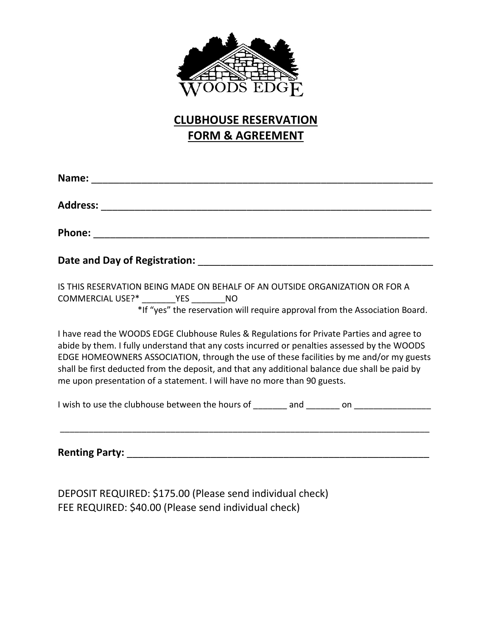

## **CLUBHOUSE RESERVATION FORM & AGREEMENT**

| Date and Day of Registration: National Action of Activities and Day of Registration:                                                                                                                                                                                                                                                                                                                                                                               |
|--------------------------------------------------------------------------------------------------------------------------------------------------------------------------------------------------------------------------------------------------------------------------------------------------------------------------------------------------------------------------------------------------------------------------------------------------------------------|
| IS THIS RESERVATION BEING MADE ON BEHALF OF AN OUTSIDE ORGANIZATION OR FOR A<br>COMMERCIAL USE?* _________ YES ________ NO<br>*If "yes" the reservation will require approval from the Association Board.                                                                                                                                                                                                                                                          |
| I have read the WOODS EDGE Clubhouse Rules & Regulations for Private Parties and agree to<br>abide by them. I fully understand that any costs incurred or penalties assessed by the WOODS<br>EDGE HOMEOWNERS ASSOCIATION, through the use of these facilities by me and/or my guests<br>shall be first deducted from the deposit, and that any additional balance due shall be paid by<br>me upon presentation of a statement. I will have no more than 90 guests. |
| I wish to use the clubhouse between the hours of _______ and _______ on ___________________                                                                                                                                                                                                                                                                                                                                                                        |

**Renting Party:** \_\_\_\_\_\_\_\_\_\_\_\_\_\_\_\_\_\_\_\_\_\_\_\_\_\_\_\_\_\_\_\_\_\_\_\_\_\_\_\_\_\_\_\_\_\_\_\_\_\_\_\_\_\_

\_\_\_\_\_\_\_\_\_\_\_\_\_\_\_\_\_\_\_\_\_\_\_\_\_\_\_\_\_\_\_\_\_\_\_\_\_\_\_\_\_\_\_\_\_\_\_\_\_\_\_\_\_\_\_\_\_\_\_\_\_\_\_\_\_\_\_\_\_\_\_\_\_\_\_\_\_

DEPOSIT REQUIRED: \$175.00 (Please send individual check) FEE REQUIRED: \$40.00 (Please send individual check)